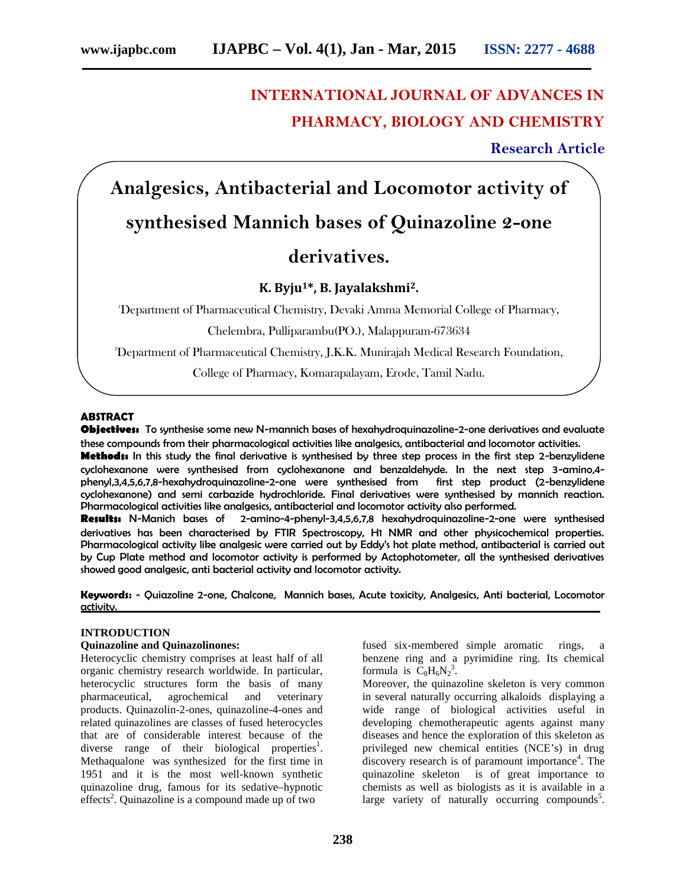# **INTERNATIONAL JOURNAL OF ADVANCES IN PHARMACY, BIOLOGY AND CHEMISTRY**

**Research Article**

# **Analgesics, Antibacterial and Locomotor activity of**

## **synthesised Mannich bases of Quinazoline 2-one**

# **derivatives.**

### **K. Byju1\*, B. Jayalakshmi2.**

<sup>1</sup>Department of Pharmaceutical Chemistry, Devaki Amma Memorial College of Pharmacy,

Chelembra, Pulliparambu(PO.), Malappuram-673634

<sup>2</sup>Department of Pharmaceutical Chemistry, J.K.K. Munirajah Medical Research Foundation,

College of Pharmacy, Komarapalayam, Erode, Tamil Nadu.

### **ABSTRACT**

**Objectives:** To synthesise some new N-mannich bases of hexahydroquinazoline-2-one derivatives and evaluate these compounds from their pharmacological activities like analgesics, antibacterial and locomotor activities.

**Methods:** In this study the final derivative is synthesised by three step process in the first step 2-benzylidene cyclohexanone were synthesised from cyclohexanone and benzaldehyde. In the next step 3-amino,4 phenyl,3,4,5,6,7,8-hexahydroquinazoline-2-one were synthesised from first step product (2-benzylidene cyclohexanone) and semi carbazide hydrochloride. Final derivatives were synthesised by mannich reaction. Pharmacological activities like analgesics, antibacterial and locomotor activity also performed.

**Results:** N-Manich bases of 2-amino-4-phenyl-3,4,5,6,7,8 hexahydroquinazoline-2-one were synthesised derivatives has been characterised by FTIR Spectroscopy, H1 NMR and other physicochemical properties. Pharmacological activity like analgesic were carried out by Eddy's hot plate method, antibacterial is carried out by Cup Plate method and locomotor activity is performed by Actophotometer, all the synthesised derivatives showed good analgesic, anti bacterial activity and locomotor activity.

**Keywords:** - Quiazoline 2-one, Chalcone, Mannich bases, Acute toxicity, Analgesics, Anti bacteriaI, Locomotor activity.

### **INTRODUCTION**

### **Quinazoline and Quinazolinones:**

Heterocyclic chemistry comprises at least half of all organic chemistry research worldwide. In particular, heterocyclic structures form the basis of many pharmaceutical, agrochemical and veterinary products. Quinazolin-2-ones, quinazoline-4-ones and related quinazolines are classes of fused heterocycles that are of considerable interest because of the diverse range of their biological properties<sup>1</sup>. Methaqualone was synthesized for the first time in 1951 and it is the most well-known synthetic quinazoline drug, famous for its sedative–hypnotic effects<sup>2</sup>. Quinazoline is a compound made up of two

fused six-membered simple aromatic rings, a benzene ring and a pyrimidine ring. Its chemical formula is  $C_8H_6N_2^3$ .

Moreover, the quinazoline skeleton is very common in several naturally occurring alkaloids displaying a wide range of biological activities useful in developing chemotherapeutic agents against many diseases and hence the exploration of this skeleton as privileged new chemical entities (NCE's) in drug discovery research is of paramount importance<sup>4</sup>. The quinazoline skeleton is of great importance to chemists as well as biologists as it is available in a large variety of naturally occurring compounds<sup>5</sup>.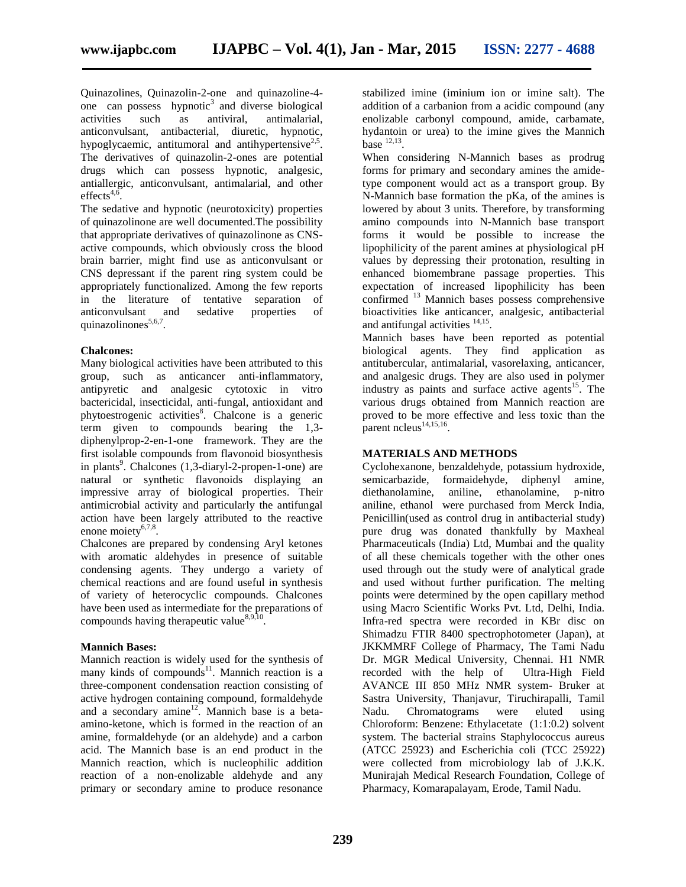Quinazolines, Quinazolin-2-one and quinazoline-4 one can possess hypnotic<sup>3</sup> and diverse biological activities such as antiviral, antimalarial, anticonvulsant, antibacterial, diuretic, hypnotic, hypoglycaemic, antitumoral and antihypertensive<sup>2,5</sup>. The derivatives of quinazolin-2-ones are potential drugs which can possess hypnotic, analgesic, antiallergic, anticonvulsant, antimalarial, and other  $effects<sup>4,6</sup>$ .

The sedative and hypnotic (neurotoxicity) properties of quinazolinone are well documented.The possibility that appropriate derivatives of quinazolinone as CNS active compounds, which obviously cross the blood brain barrier, might find use as anticonvulsant or CNS depressant if the parent ring system could be appropriately functionalized. Among the few reports in the literature of tentative separation of anticonvulsant and sedative properties of quinazolinones $5,6,7$ .

### **Chalcones:**

Many biological activities have been attributed to this group, such as anticancer anti-inflammatory, antipyretic and analgesic cytotoxic in vitro bactericidal, insecticidal, anti-fungal, antioxidant and phytoestrogenic activities<sup>8</sup>. Chalcone is a generic term given to compounds bearing the 1,3 diphenylprop-2-en-1-one framework. They are the first isolable compounds from flavonoid biosynthesis in plants<sup>9</sup>. Chalcones (1,3-diaryl-2-propen-1-one) are natural or synthetic flavonoids displaying an impressive array of biological properties. Their antimicrobial activity and particularly the antifungal action have been largely attributed to the reactive enone moiety $6,7,8$ .

Chalcones are prepared by condensing Aryl ketones with aromatic aldehydes in presence of suitable condensing agents. They undergo a variety of chemical reactions and are found useful in synthesis of variety of heterocyclic compounds. Chalcones have been used as intermediate for the preparations of compounds having therapeutic value  $8,9,10$ .

### **Mannich Bases:**

Mannich reaction is widely used for the synthesis of many kinds of compounds<sup>11</sup>. Mannich reaction is a three-component condensation reaction consisting of active hydrogen containing compound, formaldehyde and a secondary amine<sup>12</sup>. Mannich base is a betaamino-ketone, which is formed in the reaction of an amine, formaldehyde (or an aldehyde) and a carbon acid. The Mannich base is an end product in the Mannich reaction, which is nucleophilic addition reaction of a non-enolizable aldehyde and any primary or secondary amine to produce resonance

stabilized imine (iminium ion or imine salt). The addition of a carbanion from a acidic compound (any enolizable carbonyl compound, amide, carbamate, hydantoin or urea) to the imine gives the Mannich base  $^{12,13}$ .

When considering N-Mannich bases as prodrug forms for primary and secondary amines the amidetype component would act as a transport group. By N-Mannich base formation the pKa, of the amines is lowered by about 3 units. Therefore, by transforming amino compounds into N-Mannich base transport forms it would be possible to increase the lipophilicity of the parent amines at physiological pH values by depressing their protonation, resulting in enhanced biomembrane passage properties. This expectation of increased lipophilicity has been confirmed <sup>13</sup> Mannich bases possess comprehensive bioactivities like anticancer, analgesic, antibacterial and antifungal activities  $14,15$ .

Mannich bases have been reported as potential biological agents. They find application as antitubercular, antimalarial, vasorelaxing, anticancer, and analgesic drugs. They are also used in polymer industry as paints and surface active agents<sup>15</sup>. The various drugs obtained from Mannich reaction are proved to be more effective and less toxic than the parent ncleus<sup>14,15,16</sup>. .

### **MATERIALS AND METHODS**

Cyclohexanone, benzaldehyde, potassium hydroxide, semicarbazide, formaidehyde, diphenyl amine, diethanolamine, aniline, ethanolamine, p-nitro aniline, ethanol were purchased from Merck India, Penicillin(used as control drug in antibacterial study) pure drug was donated thankfully by Maxheal Pharmaceuticals (India) Ltd, Mumbai and the quality of all these chemicals together with the other ones used through out the study were of analytical grade and used without further purification. The melting points were determined by the open capillary method using Macro Scientific Works Pvt. Ltd, Delhi, India. Infra-red spectra were recorded in KBr disc on Shimadzu FTIR 8400 spectrophotometer (Japan), at JKKMMRF College of Pharmacy, The Tami Nadu Dr. MGR Medical University, Chennai. H1 NMR recorded with the help of Ultra-High Field AVANCE III 850 MHz NMR system- Bruker at Sastra University, Thanjavur, Tiruchirapalli, Tamil Nadu. Chromatograms were eluted using Chloroform: Benzene: Ethylacetate (1:1:0.2) solvent system. The bacterial strains Staphylococcus aureus (ATCC 25923) and Escherichia coli (TCC 25922) were collected from microbiology lab of J.K.K. Munirajah Medical Research Foundation, College of Pharmacy, Komarapalayam, Erode, Tamil Nadu.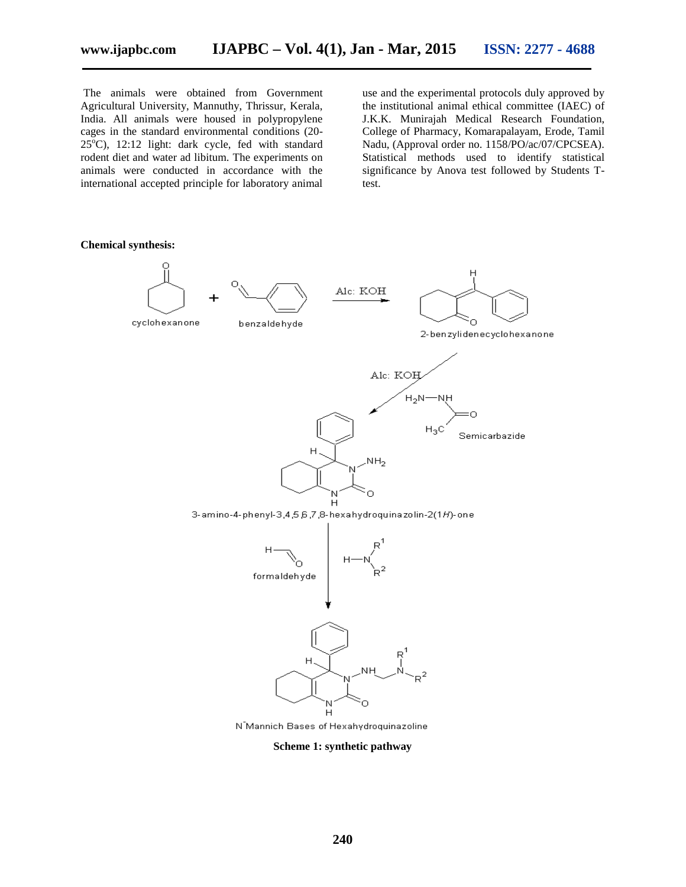The animals were obtained from Government Agricultural University, Mannuthy, Thrissur, Kerala, India. All animals were housed in polypropylene cages in the standard environmental conditions (20-  $25^{\circ}$ C), 12:12 light: dark cycle, fed with standard rodent diet and water ad libitum. The experiments on animals were conducted in accordance with the international accepted principle for laboratory animal

use and the experimental protocols duly approved by the institutional animal ethical committee (IAEC) of J.K.K. Munirajah Medical Research Foundation, College of Pharmacy, Komarapalayam, Erode, Tamil Nadu, (Approval order no. 1158/PO/ac/07/CPCSEA). Statistical methods used to identify statistical significance by Anova test followed by Students Ttest.

#### **Chemical synthesis:**





benzaldehyde

Alc: KOH Ò 2-benzylidenecyclohexanone



3-amino-4-phenyl-3,4,5,6,7,8-hexahydroquinazolin-2(1H)-one



N Mannich Bases of Hexahydroquinazoline

**Scheme 1: synthetic pathway**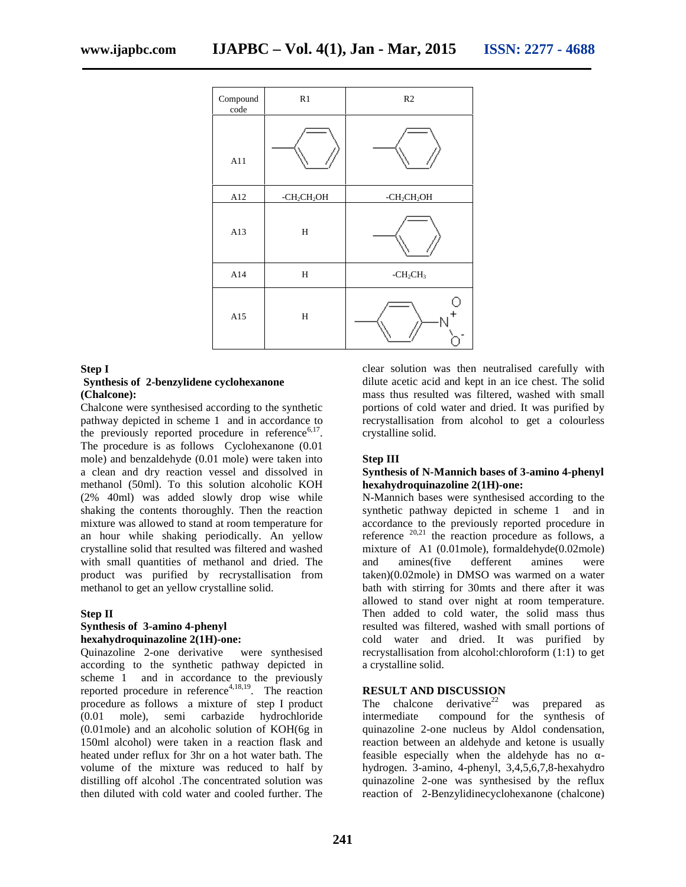| Compound<br>code | R1                                  | R2            |
|------------------|-------------------------------------|---------------|
| A11              |                                     |               |
| A12              | -CH <sub>2</sub> CH <sub>2</sub> OH | $-CH_2CH_2OH$ |
| A13              | $\, {\rm H}$                        |               |
| A14              | $\, {\rm H}$                        | $-CH2CH3$     |
| A15              | H                                   |               |

### **Step I**

### **Synthesis of 2-benzylidene cyclohexanone (Chalcone):**

Chalcone were synthesised according to the synthetic pathway depicted in scheme 1 and in accordance to the previously reported procedure in reference<sup> $6,17$ </sup>. The procedure is as follows Cyclohexanone (0.01 mole) and benzaldehyde (0.01 mole) were taken into a clean and dry reaction vessel and dissolved in methanol (50ml). To this solution alcoholic KOH (2% 40ml) was added slowly drop wise while shaking the contents thoroughly. Then the reaction mixture was allowed to stand at room temperature for an hour while shaking periodically. An yellow crystalline solid that resulted was filtered and washed with small quantities of methanol and dried. The product was purified by recrystallisation from methanol to get an yellow crystalline solid.

### **Step II**

### **Synthesis of 3-amino 4-phenyl hexahydroquinazoline 2(1H)-one:**

Quinazoline 2-one derivative were synthesised according to the synthetic pathway depicted in scheme 1 and in accordance to the previously reported procedure in reference<sup>4,18,19</sup>. The reaction procedure as follows a mixture of step I product (0.01 mole), semi carbazide hydrochloride (0.01mole) and an alcoholic solution of KOH(6g in 150ml alcohol) were taken in a reaction flask and heated under reflux for 3hr on a hot water bath. The volume of the mixture was reduced to half by distilling off alcohol .The concentrated solution was then diluted with cold water and cooled further. The

clear solution was then neutralised carefully with dilute acetic acid and kept in an ice chest. The solid mass thus resulted was filtered, washed with small portions of cold water and dried. It was purified by recrystallisation from alcohol to get a colourless crystalline solid.

### **Step III**

### **Synthesis of N-Mannich bases of 3-amino 4-phenyl hexahydroquinazoline 2(1H)-one:**

N-Mannich bases were synthesised according to the synthetic pathway depicted in scheme 1 and in accordance to the previously reported procedure in reference  $20,21$  the reaction procedure as follows, a mixture of A1 (0.01mole), formaldehyde(0.02mole) and amines(five defferent amines were taken)(0.02mole) in DMSO was warmed on a water bath with stirring for 30mts and there after it was allowed to stand over night at room temperature. Then added to cold water, the solid mass thus resulted was filtered, washed with small portions of cold water and dried. It was purified by recrystallisation from alcohol:chloroform (1:1) to get a crystalline solid.

### **RESULT AND DISCUSSION**

The chalcone derivative<sup>22</sup> was prepared as<br>intermediate compound for the synthesis of compound for the synthesis of quinazoline 2-one nucleus by Aldol condensation, reaction between an aldehyde and ketone is usually feasible especially when the aldehyde has no hydrogen. 3-amino, 4-phenyl, 3,4,5,6,7,8-hexahydro quinazoline 2-one was synthesised by the reflux reaction of 2-Benzylidinecyclohexanone (chalcone)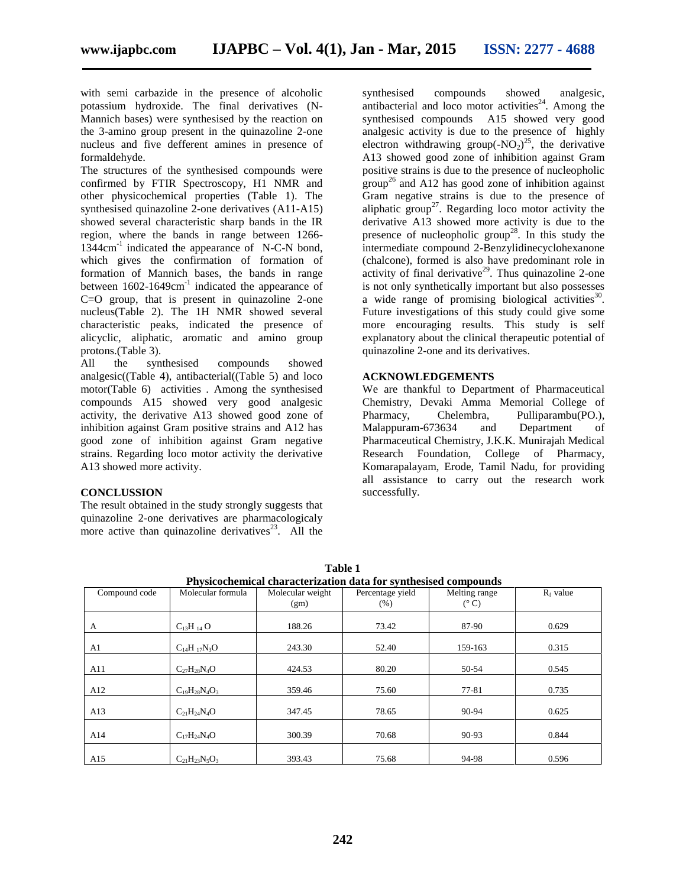with semi carbazide in the presence of alcoholic potassium hydroxide. The final derivatives (N- Mannich bases) were synthesised by the reaction on the 3-amino group present in the quinazoline 2-one nucleus and five defferent amines in presence of formaldehyde.

The structures of the synthesised compounds were confirmed by FTIR Spectroscopy, H1 NMR and other physicochemical properties (Table 1). The synthesised quinazoline 2-one derivatives (A11-A15) showed several characteristic sharp bands in the IR region, where the bands in range between 1266- 1344cm-1 indicated the appearance of N-C-N bond, which gives the confirmation of formation of formation of Mannich bases, the bands in range between 1602-1649cm<sup>-1</sup> indicated the appearance of C=O group, that is present in quinazoline 2-one nucleus(Table 2). The 1H NMR showed several characteristic peaks, indicated the presence of alicyclic, aliphatic, aromatic and amino group protons.(Table 3).

All the synthesised compounds showed analgesic((Table 4), antibacterial((Table 5) and loco motor(Table 6) activities . Among the synthesised compounds A15 showed very good analgesic activity, the derivative A13 showed good zone of inhibition against Gram positive strains and A12 has good zone of inhibition against Gram negative strains. Regarding loco motor activity the derivative A13 showed more activity.

### **CONCLUSSION**

The result obtained in the study strongly suggests that quinazoline 2-one derivatives are pharmacologicaly more active than quinazoline derivatives<sup>23</sup>. All the

synthesised compounds showed analgesic, antibacterial and loco motor activities<sup>24</sup>. Among the synthesised compounds A15 showed very good analgesic activity is due to the presence of highly electron withdrawing group(- $NO<sub>2</sub>$ )<sup>25</sup>, the derivative A13 showed good zone of inhibition against Gram positive strains is due to the presence of nucleopholic group<sup>26</sup> and A12 has good zone of inhibition against Gram negative strains is due to the presence of aliphatic group<sup>27</sup>. Regarding loco motor activity the derivative A13 showed more activity is due to the presence of nucleopholic group<sup>28</sup>. In this study the intermediate compound 2-Benzylidinecyclohexanone (chalcone), formed is also have predominant role in activity of final derivative<sup>29</sup>. Thus quinazoline 2-one is not only synthetically important but also possesses a wide range of promising biological activities  $30$ . Future investigations of this study could give some more encouraging results. This study is self explanatory about the clinical therapeutic potential of quinazoline 2-one and its derivatives.

### **ACKNOWLEDGEMENTS**

We are thankful to Department of Pharmaceutical Chemistry, Devaki Amma Memorial College of Pharmacy, Chelembra, Pulliparambu(PO.), Malappuram-673634 and Department of Pharmaceutical Chemistry, J.K.K. Munirajah Medical Research Foundation, College of Pharmacy, Komarapalayam, Erode, Tamil Nadu, for providing all assistance to carry out the research work successfully.

| Physicochemical characterization data for synthesised compounds |                      |                  |                  |               |             |  |  |
|-----------------------------------------------------------------|----------------------|------------------|------------------|---------------|-------------|--|--|
| Compound code                                                   | Molecular formula    | Molecular weight | Percentage yield | Melting range | $R_f$ value |  |  |
|                                                                 |                      | (gm)             | (% )             | $(^{\circ}C)$ |             |  |  |
|                                                                 |                      | 188.26           | 73.42            | 87-90         | 0.629       |  |  |
| A                                                               | $C_{13}H_{14}O$      |                  |                  |               |             |  |  |
| A1                                                              | $C_{14}H_{17}N_3O$   | 243.30           | 52.40            | 159-163       | 0.315       |  |  |
| A11                                                             | $C_{27}H_{28}N_4O$   | 424.53           | 80.20            | 50-54         | 0.545       |  |  |
| A12                                                             | $C_{19}H_{28}N_4O_3$ | 359.46           | 75.60            | 77-81         | 0.735       |  |  |
| A13                                                             | $C_{21}H_{24}N_4O$   | 347.45           | 78.65            | 90-94         | 0.625       |  |  |
| A14                                                             | $C_{17}H_{24}N_4O$   | 300.39           | 70.68            | 90-93         | 0.844       |  |  |
| A15                                                             | $C_{21}H_{23}N_5O_3$ | 393.43           | 75.68            | 94-98         | 0.596       |  |  |

**Table 1**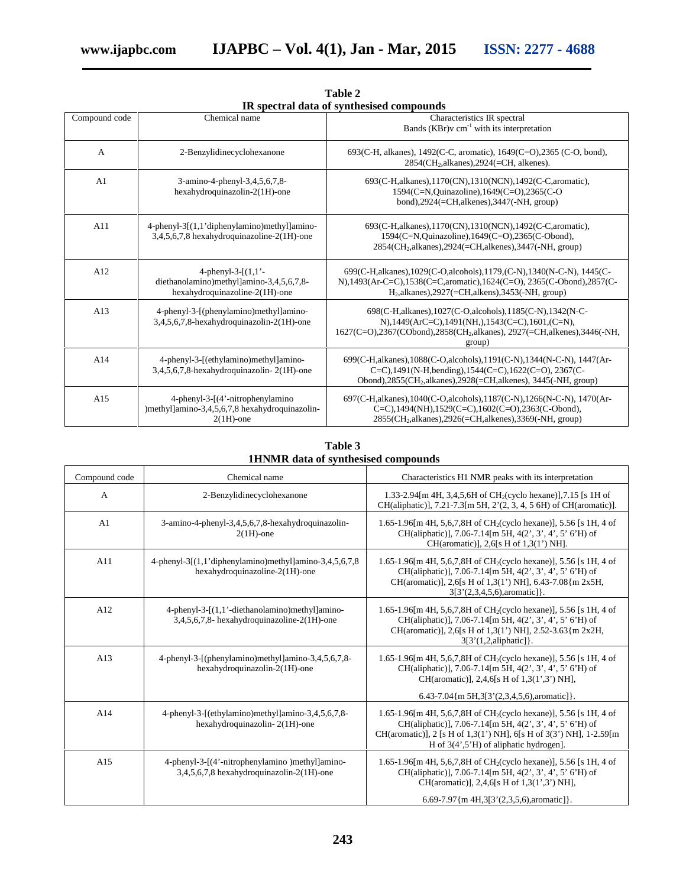|                |                                                                                                                | нх эрссиат часа от зупсисэлэса сонгроанаэ                                                                                                                                                                                         |
|----------------|----------------------------------------------------------------------------------------------------------------|-----------------------------------------------------------------------------------------------------------------------------------------------------------------------------------------------------------------------------------|
| Compound code  | Chemical name                                                                                                  | Characteristics IR spectral<br>Bands (KBr) $v$ cm <sup>-1</sup> with its interpretation                                                                                                                                           |
| A              | 2-Benzylidinecyclohexanone                                                                                     | 693(C-H, alkanes), 1492(C-C, aromatic), 1649(C=O), 2365 (C-O, bond),<br>2854(CH <sub>2</sub> , alkanes), 2924(=CH, alkenes).                                                                                                      |
| A <sub>1</sub> | 3-amino-4-phenyl-3,4,5,6,7,8-<br>hexahydroquinazolin-2(1H)-one                                                 | 693(C-H, alkanes), 1170(CN), 1310(NCN), 1492(C-C, aromatic),<br>1594(C=N,Quinazoline),1649(C=O),2365(C-O<br>bond), $2924$ (=CH,alkenes), $3447$ (-NH, group)                                                                      |
| A11            | 4-phenyl-3[(1,1'diphenylamino)methyl]amino-<br>3,4,5,6,7,8 hexahydroquinazoline-2(1H)-one                      | 693(C-H, alkanes), 1170(CN), 1310(NCN), 1492(C-C, aromatic),<br>1594(C=N,Quinazoline),1649(C=O),2365(C-Obond),<br>$2854$ (CH <sub>2</sub> , alkanes), $2924$ (=CH, alkenes), $3447$ (-NH, group)                                  |
| A12            | 4-phenyl-3- $(1,1)$ <sup>-</sup><br>diethanolamino)methyl]amino-3,4,5,6,7,8-<br>hexahydroquinazoline-2(1H)-one | 699(C-H, alkanes), 1029(C-O, alcohols), 1179, (C-N), 1340(N-C-N), 1445(C-<br>N),1493(Ar-C=C),1538(C=C,aromatic),1624(C=O), 2365(C-Obond),2857(C-<br>$H2$ , alkanes), 2927(=CH, alkens), 3453(-NH, group)                          |
| A13            | 4-phenyl-3-[(phenylamino)methyl]amino-<br>3,4,5,6,7,8-hexahydroquinazolin-2(1H)-one                            | 698(C-H, alkanes), 1027(C-O, alcohols), 1185(C-N), 1342(N-C-<br>N), $1449(ArC=C)$ , $1491(NH)$ , $1543(C=C)$ , $1601$ , $(C=N)$ ,<br>1627(C=O),2367(CObond),2858(CH <sub>2</sub> ,alkanes), 2927(=CH,alkenes),3446(-NH,<br>group) |
| A14            | 4-phenyl-3-[(ethylamino)methyl]amino-<br>3,4,5,6,7,8-hexahydroquinazolin-2(1H)-one                             | 699(C-H, alkanes), 1088(C-O, alcohols), 1191(C-N), 1344(N-C-N), 1447(Ar-<br>C=C),1491(N-H,bending),1544(C=C),1622(C=O), 2367(C-<br>Obond), $2855$ (CH <sub>2</sub> ,alkanes), $2928$ (=CH,alkenes), $3445$ (-NH, group)           |
| A15            | 4-phenyl-3-[(4'-nitrophenylamino<br>)methyl]amino-3,4,5,6,7,8 hexahydroquinazolin-<br>$2(1H)$ -one             | 697(C-H, alkanes), 1040(C-O, alcohols), 1187(C-N), 1266(N-C-N), 1470(Ar-<br>C=C),1494(NH),1529(C=C),1602(C=O),2363(C-Obond),<br>$2855$ (CH <sub>2</sub> , alkanes), $2926$ (=CH, alkenes), $3369$ (-NH, group)                    |

**Table 2 IR spectral data of synthesised compounds**

**Table 3 1HNMR data of synthesised compounds**

| Compound code | Chemical name                                                                                 | Characteristics H1 NMR peaks with its interpretation                                                                                                                                                                                                        |
|---------------|-----------------------------------------------------------------------------------------------|-------------------------------------------------------------------------------------------------------------------------------------------------------------------------------------------------------------------------------------------------------------|
| A             | 2-Benzylidinecyclohexanone                                                                    | 1.33-2.94 [m 4H, 3,4,5,6H of CH <sub>2</sub> (cyclo hexane)], 7.15 [s 1H of<br>CH(aliphatic)], 7.21-7.3[m 5H, 2'(2, 3, 4, 5 6H) of CH(aromatic)].                                                                                                           |
| A1            | 3-amino-4-phenyl-3,4,5,6,7,8-hexahydroquinazolin-<br>$2(1H)$ -one                             | 1.65-1.96[m 4H, 5,6,7,8H of CH <sub>2</sub> (cyclo hexane)], 5.56 [s 1H, 4 of<br>CH(aliphatic)], 7.06-7.14[m 5H, 4(2', 3', 4', 5' 6'H) of<br>CH(aromatic)], 2,6[s H of $1,3(1')$ NH].                                                                       |
| A11           | 4-phenyl-3[(1,1'diphenylamino)methyl]amino-3,4,5,6,7,8<br>hexahydroquinazoline-2(1H)-one      | 1.65-1.96 [m 4H, 5,6,7,8H of CH <sub>2</sub> (cyclo hexane)], 5.56 [s 1H, 4 of<br>CH(aliphatic)], 7.06-7.14[m 5H, 4(2', 3', 4', 5' 6'H) of<br>CH(aromatic)], 2,6[s H of 1,3(1') NH], 6.43-7.08{m 2x5H,<br>$3[3'(2,3,4,5,6),$ aromatic $]$ .                 |
| A12           | 4-phenyl-3-[(1,1'-diethanolamino)methyl]amino-<br>3,4,5,6,7,8- hexahydroquinazoline-2(1H)-one | 1.65-1.96 [m 4H, 5,6,7,8H of CH <sub>2</sub> (cyclo hexane)], 5.56 [s 1H, 4 of<br>CH(aliphatic)], 7.06-7.14[m 5H, 4(2', 3', 4', 5' 6'H) of<br>CH(aromatic)], 2,6[s H of 1,3(1') NH], 2.52-3.63{m 2x2H,<br>3[3'(1,2,aliphatic)].                             |
| A13           | 4-phenyl-3-[(phenylamino)methyl]amino-3,4,5,6,7,8-<br>hexahydroquinazolin-2(1H)-one           | 1.65-1.96 [m 4H, 5,6,7,8H of CH <sub>2</sub> (cyclo hexane)], 5.56 [s 1H, 4 of<br>CH(aliphatic)], 7.06-7.14[m 5H, 4(2', 3', 4', 5' 6'H) of<br>CH(aromatic)], 2,4,6[s H of 1,3(1',3') NH],                                                                   |
|               |                                                                                               | $6.43-7.04\{m\,5H,3[3'(2,3,4,5,6),\text{aromatic}]\}.$                                                                                                                                                                                                      |
| A14           | 4-phenyl-3-[(ethylamino)methyl]amino-3,4,5,6,7,8-<br>hexahydroquinazolin-2(1H)-one            | 1.65-1.96[m 4H, 5,6,7,8H of CH <sub>2</sub> (cyclo hexane)], 5.56 [s 1H, 4 of<br>CH(aliphatic)], 7.06-7.14[m 5H, 4(2', 3', 4', 5' 6'H) of<br>CH(aromatic)], 2 [s H of 1,3(1') NH], 6[s H of 3(3') NH], 1-2.59[m<br>H of $3(4, 5)$ H of aliphatic hydrogen]. |
| A15           | 4-phenyl-3-[(4'-nitrophenylamino)methyllamino-<br>3,4,5,6,7,8 hexahydroquinazolin-2(1H)-one   | 1.65-1.96 [m 4H, 5,6,7,8H of CH <sub>2</sub> (cyclo hexane)], 5.56 [s 1H, 4 of<br>CH(aliphatic)], 7.06-7.14[m 5H, 4(2', 3', 4', 5' 6'H) of<br>CH(aromatic)], 2,4,6[s H of 1,3(1',3') NH],                                                                   |
|               |                                                                                               | 6.69-7.97{m 4H,3[3'(2,3,5,6), aromatic]}.                                                                                                                                                                                                                   |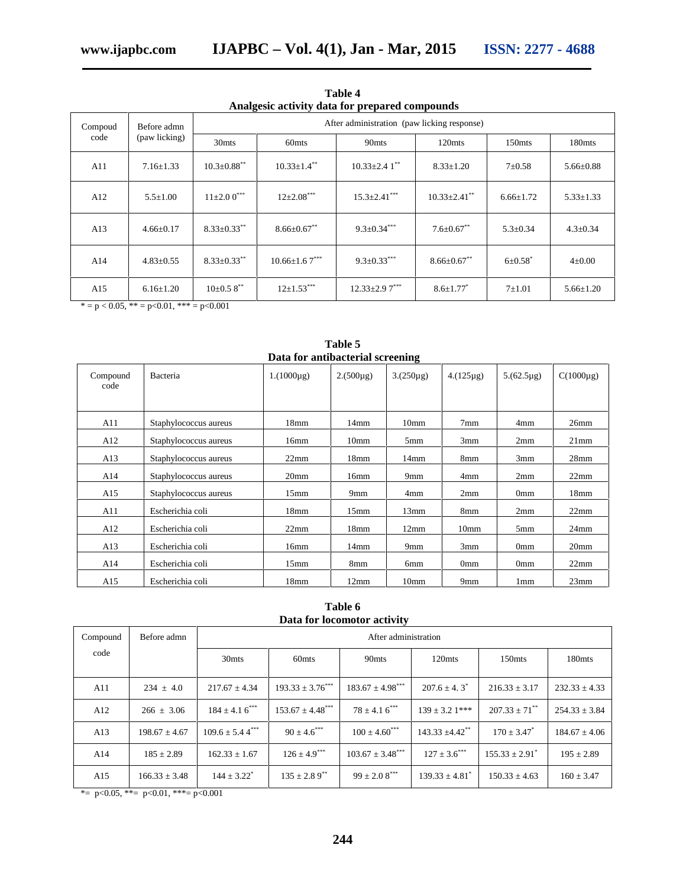| Analgesic activity data for prepared compounds  |                   |                                             |                      |                      |                     |                           |                 |
|-------------------------------------------------|-------------------|---------------------------------------------|----------------------|----------------------|---------------------|---------------------------|-----------------|
| Compoud<br>Before admn<br>code<br>(paw licking) |                   | After administration (paw licking response) |                      |                      |                     |                           |                 |
|                                                 | 30 <sub>mts</sub> | 60 <sub>mts</sub>                           | 90 <sub>mts</sub>    | 120mts               | 150 <sub>mts</sub>  | 180 <sub>mts</sub>        |                 |
| A11                                             | $7.16 \pm 1.33$   | $10.3 \pm 0.88$ **                          | $10.33 \pm 1.4$ **   | $10.33 \pm 2.41$ **  | $8.33 \pm 1.20$     | $7 + 0.58$                | $5.66 \pm 0.88$ |
| A12                                             | $5.5 \pm 1.00$    | $11\pm2.00$ <sup>***</sup>                  | $12\pm2.08$ ***      | $15.3 \pm 2.41$ ***  | $10.33 \pm 2.41$ ** | $6.66 \pm 1.72$           | $5.33 \pm 1.33$ |
| A13                                             | $4.66 \pm 0.17$   | $8.33 \pm 0.33$ **                          | $8.66 \pm 0.67$ **   | $9.3 \pm 0.34***$    | $7.6 \pm 0.67$ **   | $5.3 \pm 0.34$            | $4.3 \pm 0.34$  |
| A14                                             | $4.83 \pm 0.55$   | $8.33 \pm 0.33$ **                          | $10.66 \pm 1.67$ *** | $9.3 \pm 0.33$ ***   | $8.66 \pm 0.67$ **  | $6 \pm 0.58$ <sup>*</sup> | $4 \pm 0.00$    |
| A15                                             | $6.16 \pm 1.20$   | $10\pm0.58$ **                              | $12\pm1.53***$       | $12.33 \pm 2.97$ *** | $8.6 \pm 1.77$      | $7 + 1.01$                | $5.66 \pm 1.20$ |

**Table 4 Analgesic activity data for prepared compounds**

 $* = p < 0.05, ** = p < 0.01, ** = p < 0.001$ 

| Data for antibacterial screening |                       |                  |                  |                  |                  |                 |                  |  |
|----------------------------------|-----------------------|------------------|------------------|------------------|------------------|-----------------|------------------|--|
| Compound<br>code                 | Bacteria              | $1.(1000\mu g)$  | $2.(500\mu g)$   | $3(250\mu g)$    | $4.(125\mu g)$   | $5.(62.5\mu g)$ | $C(1000\mu g)$   |  |
| A11                              | Staphylococcus aureus | 18 <sub>mm</sub> | 14mm             | 10 <sub>mm</sub> | 7mm              | 4mm             | 26mm             |  |
| A12                              | Staphylococcus aureus | 16mm             | 10 <sub>mm</sub> | 5 <sub>mm</sub>  | 3mm              | 2mm             | 21mm             |  |
| A13                              | Staphylococcus aureus | 22mm             | 18mm             | $14$ mm          | 8mm              | 3mm             | 28 <sub>mm</sub> |  |
| A14                              | Staphylococcus aureus | 20 <sub>mm</sub> | 16mm             | 9mm              | 4mm              | 2mm             | 22mm             |  |
| A15                              | Staphylococcus aureus | 15 <sub>mm</sub> | 9 <sub>mm</sub>  | 4mm              | 2mm              | 0 <sub>mm</sub> | 18 <sub>mm</sub> |  |
| A11                              | Escherichia coli      | 18 <sub>mm</sub> | 15 <sub>mm</sub> | 13mm             | 8mm              | 2mm             | 22mm             |  |
| A12                              | Escherichia coli      | 22mm             | 18 <sub>mm</sub> | 12mm             | 10 <sub>mm</sub> | 5 <sub>mm</sub> | $24$ mm          |  |
| A13                              | Escherichia coli      | 16mm             | 14 <sub>mm</sub> | 9mm              | 3mm              | 0 <sub>mm</sub> | 20 <sub>mm</sub> |  |
| A14                              | Escherichia coli      | 15 <sub>mm</sub> | 8mm              | 6mm              | 0 <sub>mm</sub>  | 0 <sub>mm</sub> | 22mm             |  |
| A15                              | Escherichia coli      | 18 <sub>mm</sub> | 12mm             | 10 <sub>mm</sub> | 9 <sub>mm</sub>  | 1 <sub>mm</sub> | 23mm             |  |

**Table 5**

**Table 6 Data for locomotor activity**

| Compound | Before admn       | After administration            |                                  |                               |                                 |                      |                    |
|----------|-------------------|---------------------------------|----------------------------------|-------------------------------|---------------------------------|----------------------|--------------------|
| code     |                   | 30 <sub>mts</sub>               | 60 <sub>mts</sub>                | 90 <sub>mts</sub>             | 120mts                          | 150 <sub>mts</sub>   | 180 <sub>mts</sub> |
| A11      | $234 + 4.0$       | $217.67 + 4.34$                 | $193.33 + 3.76***$               | $183.67 + 4.98***$            | $207.6 + 4.3^*$                 | $216.33 \pm 3.17$    | $232.33 \pm 4.33$  |
| A12      | $266 + 3.06$      | $184 + 4.16$ <sup>***</sup>     | $153.67 \pm 4.48$ <sup>***</sup> | $78 + 4.16$ <sup>***</sup>    | $139 + 3.21$ ***                | $207.33 \pm 71^{**}$ | $254.33 \pm 3.84$  |
| A13      | $198.67 \pm 4.67$ | $109.6 \pm 5.44$ <sup>***</sup> | $90 \pm 4.6$ ***                 | $100 \pm 4.60$ <sup>***</sup> | $143.33 \pm 4.42$ <sup>**</sup> | $170 \pm 3.47^*$     | $184.67 \pm 4.06$  |
| A14      | $185 \pm 2.89$    | $162.33 \pm 1.67$               | $126 \pm 4.9***$                 | $103.67 \pm 3.48$ ***         | $127 \pm 3.6$ ***               | $155.33 + 2.91^*$    | $195 \pm 2.89$     |
| A15      | $166.33 \pm 3.48$ | $144 \pm 3.22$ <sup>*</sup>     | $135 \pm 2.89$ <sup>**</sup>     | $99 \pm 2.08$ <sup>***</sup>  | $139.33 \pm 4.81$ <sup>*</sup>  | $150.33 \pm 4.63$    | $160 \pm 3.47$     |

\*=  $p<0.05$ , \*\*=  $p<0.01$ , \*\*\*=  $p<0.001$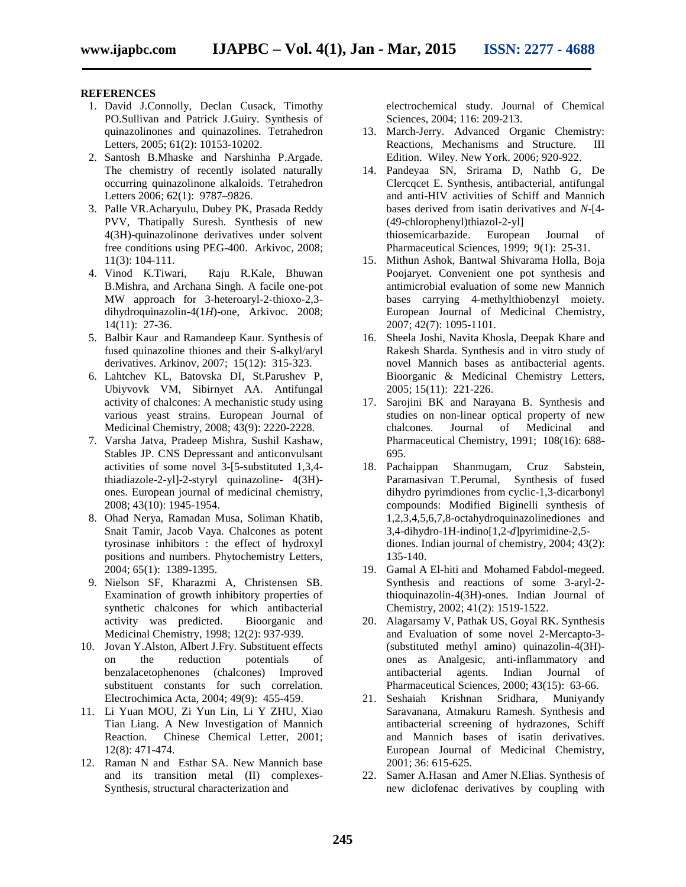#### **REFERENCES**

- 1. David J.Connolly, Declan Cusack, Timothy PO.Sullivan and Patrick J.Guiry. Synthesis of quinazolinones and quinazolines. Tetrahedron Letters, 2005; 61(2): 10153-10202.
- 2. Santosh B.Mhaske and Narshinha P.Argade. The chemistry of recently isolated naturally occurring quinazolinone alkaloids. Tetrahedron Letters 2006; 62(1): 9787–9826.
- 3. Palle VR.Acharyulu, Dubey PK, Prasada Reddy PVV, Thatipally Suresh. Synthesis of new 4(3H)-quinazolinone derivatives under solvent free conditions using PEG-400. Arkivoc, 2008; 11(3): 104-111.
- 4. Vinod K.Tiwari, Raju R.Kale, Bhuwan B.Mishra, and Archana Singh. A facile one-pot MW approach for 3-heteroaryl-2-thioxo-2,3 dihydroquinazolin-4(1*H*)-one, Arkivoc. 2008; 14(11): 27-36.
- 5. Balbir Kaur and Ramandeep Kaur. Synthesis of fused quinazoline thiones and their S-alkyl/aryl derivatives. Arkinov, 2007; 15(12): 315-323.
- 6. Lahtchev KL, Batovska DI, St.Parushev P, Ubiyvovk VM, Sibirnyet AA. Antifungal activity of chalcones: A mechanistic study using various yeast strains. European Journal of Medicinal Chemistry, 2008; 43(9): 2220-2228.
- 7. Varsha Jatva, Pradeep Mishra, Sushil Kashaw, Stables JP. CNS Depressant and anticonvulsant activities of some novel 3-[5-substituted 1,3,4 thiadiazole-2-yl]-2-styryl quinazoline- 4(3H) ones. European journal of medicinal chemistry, 2008; 43(10): 1945-1954.
- 8. Ohad Nerya, Ramadan Musa, Soliman Khatib, Snait Tamir, Jacob Vaya. Chalcones as potent tyrosinase inhibitors : the effect of hydroxyl positions and numbers. Phytochemistry Letters, 2004; 65(1): 1389-1395.
- 9. Nielson SF, Kharazmi A, Christensen SB. Examination of growth inhibitory properties of synthetic chalcones for which antibacterial activity was predicted. Bioorganic and Medicinal Chemistry, 1998; 12(2): 937-939.
- 10. Jovan Y.Alston, Albert J.Fry. Substituent effects on the reduction potentials of benzalacetophenones (chalcones) Improved substituent constants for such correlation. Electrochimica Acta, 2004; 49(9): 455-459.
- 11. Li Yuan MOU, Zi Yun Lin, Li Y ZHU, Xiao Tian Liang. A New Investigation of Mannich Reaction. Chinese Chemical Letter, 2001; 12(8): 471-474.
- 12. Raman N and Esthar SA. New Mannich base and its transition metal (II) complexes- Synthesis, structural characterization and

electrochemical study. Journal of Chemical Sciences, 2004; 116: 209-213.

- 13. March-Jerry. Advanced Organic Chemistry: Reactions, Mechanisms and Structure. III Edition. Wiley. New York. 2006; 920-922.
- 14. Pandeyaa SN, Srirama D, Nathb G, De Clercqcet E. Synthesis, antibacterial, antifungal and anti-HIV activities of Schiff and Mannich bases derived from isatin derivatives and *N*-[4- (49-chlorophenyl)thiazol-2-yl] thiosemicarbazide. European Journal of Pharmaceutical Sciences, 1999; 9(1): 25-31.
- 15. Mithun Ashok, Bantwal Shivarama Holla, Boja Poojaryet. Convenient one pot synthesis and antimicrobial evaluation of some new Mannich bases carrying 4-methylthiobenzyl moiety. European Journal of Medicinal Chemistry, 2007; 42(7): 1095-1101.
- 16. Sheela Joshi, Navita Khosla, Deepak Khare and Rakesh Sharda. Synthesis and in vitro study of novel Mannich bases as antibacterial agents. Bioorganic & Medicinal Chemistry Letters, 2005; 15(11): 221-226.
- 17. Sarojini BK and Narayana B. Synthesis and studies on non-linear optical property of new chalcones. Journal of Medicinal and Pharmaceutical Chemistry, 1991; 108(16): 688- 695.
- 18. Pachaippan Shanmugam, Cruz Sabstein, Paramasivan T.Perumal, Synthesis of fused dihydro pyrimdiones from cyclic-1,3-dicarbonyl compounds: Modified Biginelli synthesis of 1,2,3,4,5,6,7,8-octahydroquinazolinediones and 3,4-dihydro-1H-indino[1,2-*d*]pyrimidine-2,5 diones. Indian journal of chemistry, 2004; 43(2): 135-140.
- 19. Gamal A El-hiti and Mohamed Fabdol-megeed. Synthesis and reactions of some 3-aryl-2 thioquinazolin-4(3H)-ones. Indian Journal of Chemistry, 2002; 41(2): 1519-1522.
- 20. Alagarsamy V, Pathak US, Goyal RK. Synthesis and Evaluation of some novel 2-Mercapto-3- (substituted methyl amino) quinazolin-4(3H) ones as Analgesic, anti-inflammatory and antibacterial agents. Indian Journal of Pharmaceutical Sciences, 2000; 43(15): 63-66.
- 21. Seshaiah Krishnan Sridhara, Muniyandy Saravanana, Atmakuru Ramesh. Synthesis and antibacterial screening of hydrazones, Schiff and Mannich bases of isatin derivatives. European Journal of Medicinal Chemistry, 2001; 36: 615-625.
- 22. Samer A.Hasan and Amer N.Elias. Synthesis of new diclofenac derivatives by coupling with